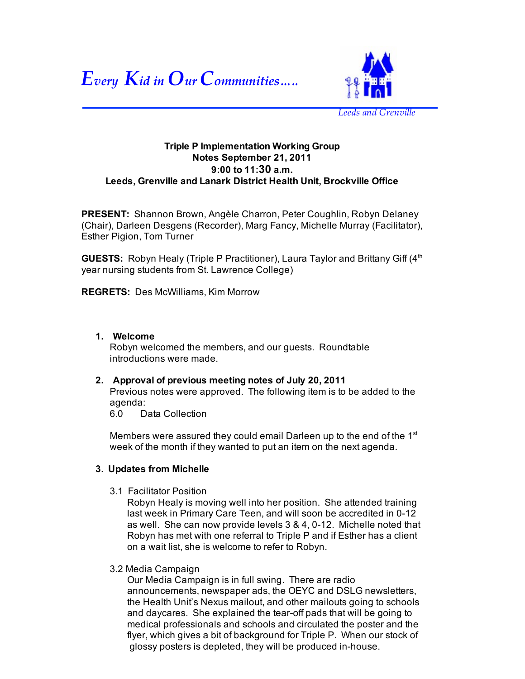



**Triple P Implementation Working Group Notes September 21, 2011 9:00 to 11:30 a.m. Leeds, Grenville and Lanark District Health Unit, Brockville Office**

**PRESENT:** Shannon Brown, Angèle Charron, Peter Coughlin, Robyn Delaney (Chair), Darleen Desgens (Recorder), Marg Fancy, Michelle Murray (Facilitator), Esther Pigion, Tom Turner

**GUESTS:** Robyn Healy (Triple P Practitioner), Laura Taylor and Brittany Giff (4<sup>th</sup>) year nursing students from St. Lawrence College)

**REGRETS:** Des McWilliams, Kim Morrow

# **Welcome 1.**

Robyn welcomed the members, and our guests. Roundtable introductions were made.

#### **Approval of previous meeting notes of July 20, 2011 2.**

Previous notes were approved. The following item is to be added to the agenda:

6.0 Data Collection

Members were assured they could email Darleen up to the end of the  $1<sup>st</sup>$ week of the month if they wanted to put an item on the next agenda.

# **3. Updates from Michelle**

3.1 Facilitator Position

Robyn Healy is moving well into her position. She attended training last week in Primary Care Teen, and will soon be accredited in 0-12 as well. She can now provide levels 3 & 4, 0-12. Michelle noted that Robyn has met with one referral to Triple P and if Esther has a client on a wait list, she is welcome to refer to Robyn.

3.2 Media Campaign

Our Media Campaign is in full swing. There are radio announcements, newspaper ads, the OEYC and DSLG newsletters, the Health Unit's Nexus mailout, and other mailouts going to schools and daycares. She explained the tear-off pads that will be going to medical professionals and schools and circulated the poster and the flyer, which gives a bit of background for Triple P. When our stock of glossy posters is depleted, they will be produced in-house.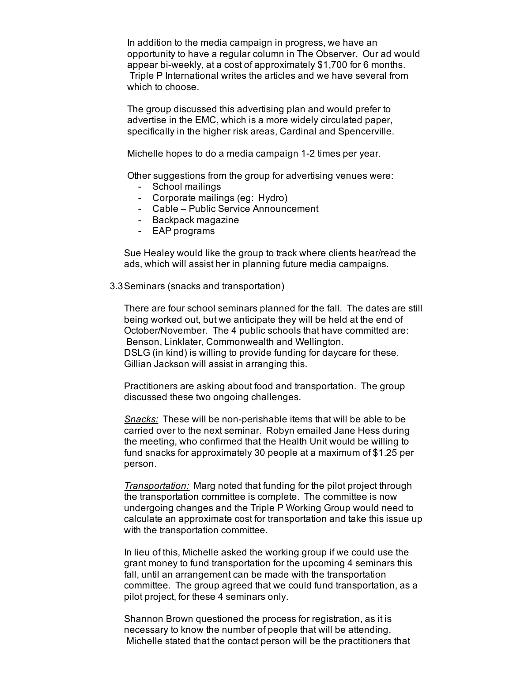In addition to the media campaign in progress, we have an opportunity to have a regular column in The Observer. Our ad would appear bi-weekly, at a cost of approximately \$1,700 for 6 months. Triple P International writes the articles and we have several from which to choose.

The group discussed this advertising plan and would prefer to advertise in the EMC, which is a more widely circulated paper, specifically in the higher risk areas, Cardinal and Spencerville.

Michelle hopes to do a media campaign 1-2 times per year.

Other suggestions from the group for advertising venues were:

- School mailings
- Corporate mailings (eg: Hydro) -
- Cable Public Service Announcement -
- Backpack magazine
- EAP programs

Sue Healey would like the group to track where clients hear/read the ads, which will assist her in planning future media campaigns.

#### 3.3 Seminars (snacks and transportation)

There are four school seminars planned for the fall. The dates are still being worked out, but we anticipate they will be held at the end of October/November. The 4 public schools that have committed are: Benson, Linklater, Commonwealth and Wellington. DSLG (in kind) is willing to provide funding for daycare for these. Gillian Jackson will assist in arranging this.

Practitioners are asking about food and transportation. The group discussed these two ongoing challenges.

*Snacks:* These will be non-perishable items that will be able to be carried over to the next seminar. Robyn emailed Jane Hess during the meeting, who confirmed that the Health Unit would be willing to fund snacks for approximately 30 people at a maximum of \$1.25 per person.

*Transportation:* Marg noted that funding for the pilot project through the transportation committee is complete. The committee is now undergoing changes and the Triple P Working Group would need to calculate an approximate cost for transportation and take this issue up with the transportation committee.

In lieu of this, Michelle asked the working group if we could use the grant money to fund transportation for the upcoming 4 seminars this fall, until an arrangement can be made with the transportation committee. The group agreed that we could fund transportation, as a pilot project, for these 4 seminars only.

Shannon Brown questioned the process for registration, as it is necessary to know the number of people that will be attending. Michelle stated that the contact person will be the practitioners that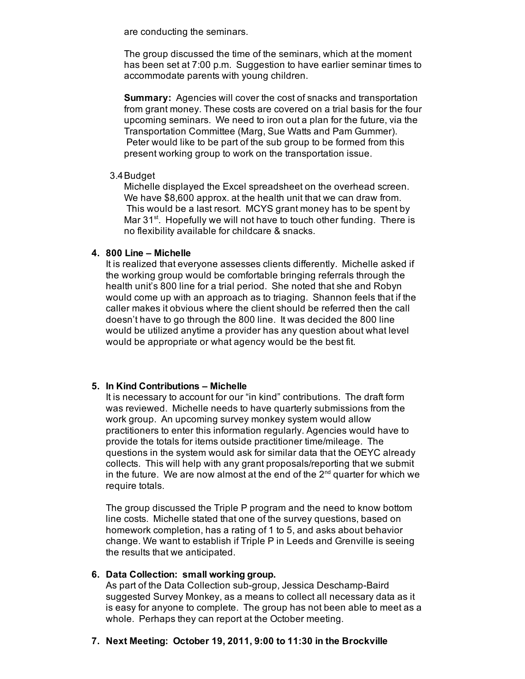are conducting the seminars.

The group discussed the time of the seminars, which at the moment has been set at 7:00 p.m. Suggestion to have earlier seminar times to accommodate parents with young children.

**Summary:** Agencies will cover the cost of snacks and transportation from grant money. These costs are covered on a trial basis for the four upcoming seminars. We need to iron out a plan for the future, via the Transportation Committee (Marg, Sue Watts and Pam Gummer). Peter would like to be part of the sub group to be formed from this present working group to work on the transportation issue.

#### Budget 3.4

Michelle displayed the Excel spreadsheet on the overhead screen. We have \$8,600 approx. at the health unit that we can draw from. This would be a last resort. MCYS grant money has to be spent by Mar  $31^{st}$ . Hopefully we will not have to touch other funding. There is no flexibility available for childcare & snacks.

# **800 Line – Michelle 4.**

It is realized that everyone assesses clients differently. Michelle asked if the working group would be comfortable bringing referrals through the health unit's 800 line for a trial period. She noted that she and Robyn would come up with an approach as to triaging. Shannon feels that if the caller makes it obvious where the client should be referred then the call doesn't have to go through the 800 line. It was decided the 800 line would be utilized anytime a provider has any question about what level would be appropriate or what agency would be the best fit.

# **In Kind Contributions – Michelle 5.**

It is necessary to account for our "in kind" contributions. The draft form was reviewed. Michelle needs to have quarterly submissions from the work group. An upcoming survey monkey system would allow practitioners to enter this information regularly. Agencies would have to provide the totals for items outside practitioner time/mileage. The questions in the system would ask for similar data that the OEYC already collects. This will help with any grant proposals/reporting that we submit in the future. We are now almost at the end of the  $2^{nd}$  quarter for which we require totals.

The group discussed the Triple P program and the need to know bottom line costs. Michelle stated that one of the survey questions, based on homework completion, has a rating of 1 to 5, and asks about behavior change. We want to establish if Triple P in Leeds and Grenville is seeing the results that we anticipated.

# **Data Collection: small working group. 6.**

As part of the Data Collection sub-group, Jessica Deschamp-Baird suggested Survey Monkey, as a means to collect all necessary data as it is easy for anyone to complete. The group has not been able to meet as a whole. Perhaps they can report at the October meeting.

# **Next Meeting: October 19, 2011, 9:00 to 11:30 in the Brockville 7.**